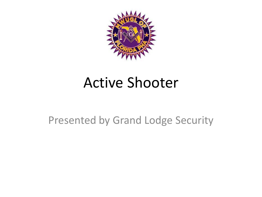

## Active Shooter

### Presented by Grand Lodge Security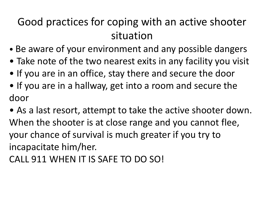### Good practices for coping with an active shooter situation

- Be aware of your environment and any possible dangers
- Take note of the two nearest exits in any facility you visit
- If you are in an office, stay there and secure the door
- If you are in a hallway, get into a room and secure the door

• As a last resort, attempt to take the active shooter down. When the shooter is at close range and you cannot flee, your chance of survival is much greater if you try to incapacitate him/her.

CALL 911 WHEN IT IS SAFE TO DO SO!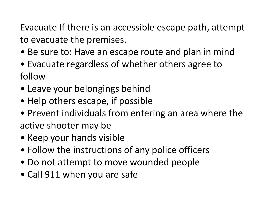Evacuate If there is an accessible escape path, attempt to evacuate the premises.

- Be sure to: Have an escape route and plan in mind
- Evacuate regardless of whether others agree to follow
- Leave your belongings behind
- Help others escape, if possible
- Prevent individuals from entering an area where the active shooter may be
- Keep your hands visible
- Follow the instructions of any police officers
- Do not attempt to move wounded people
- Call 911 when you are safe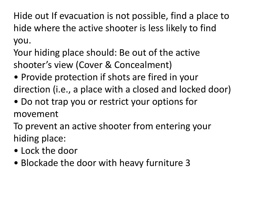Hide out If evacuation is not possible, find a place to hide where the active shooter is less likely to find you.

Your hiding place should: Be out of the active shooter's view (Cover & Concealment)

- Provide protection if shots are fired in your direction (i.e., a place with a closed and locked door)
- Do not trap you or restrict your options for movement

To prevent an active shooter from entering your hiding place:

- Lock the door
- Blockade the door with heavy furniture 3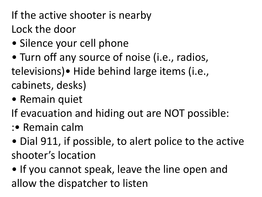## If the active shooter is nearby Lock the door

- Silence your cell phone
- Turn off any source of noise (i.e., radios, televisions)• Hide behind large items (i.e., cabinets, desks)
- Remain quiet
- If evacuation and hiding out are NOT possible:
- :• Remain calm
- Dial 911, if possible, to alert police to the active shooter's location
- If you cannot speak, leave the line open and allow the dispatcher to listen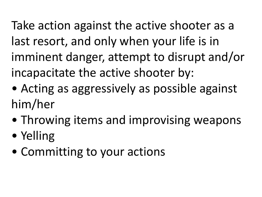Take action against the active shooter as a last resort, and only when your life is in imminent danger, attempt to disrupt and/or incapacitate the active shooter by:

- Acting as aggressively as possible against him/her
- Throwing items and improvising weapons
- Yelling
- Committing to your actions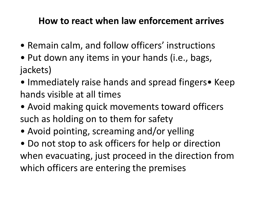#### **How to react when law enforcement arrives**

- Remain calm, and follow officers' instructions
- Put down any items in your hands (i.e., bags, jackets)
- Immediately raise hands and spread fingers• Keep hands visible at all times
- Avoid making quick movements toward officers such as holding on to them for safety
- Avoid pointing, screaming and/or yelling
- Do not stop to ask officers for help or direction when evacuating, just proceed in the direction from which officers are entering the premises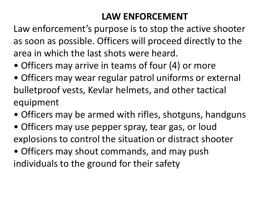### **LAW ENFORCEMENT**

Law enforcement's purpose is to stop the active shooter as soon as possible. Officers will proceed directly to the area in which the last shots were heard.

- Officers may arrive in teams of four (4) or more
- Officers may wear regular patrol uniforms or external bulletproof vests, Kevlar helmets, and other tactical equipment
- Officers may be armed with rifles, shotguns, handguns
- Officers may use pepper spray, tear gas, or loud explosions to control the situation or distract shooter
- Officers may shout commands, and may push individuals to the ground for their safety